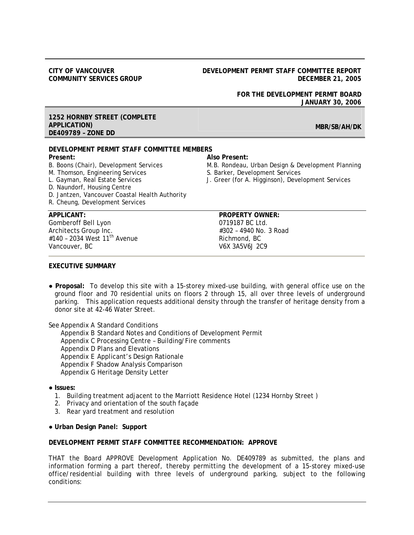#### **CITY OF VANCOUVER COMMUNITY SERVICES GROUP**

#### **DEVELOPMENT PERMIT STAFF COMMITTEE REPORT DECEMBER 21, 2005**

**FOR THE DEVELOPMENT PERMIT BOARD JANUARY 30, 2006** 

#### **1252 HORNBY STREET (COMPLETE APPLICATION) DE409789 – ZONE DD**

**DEVELOPMENT PERMIT STAFF COMMITTEE MEMBERS Present: Also Present:** 

B. Boons (Chair), Development Services M.B. Rondeau, Urban Design & Development Planning

M. Thomson, Engineering Services S. Barker, Development Services

- L. Gayman, Real Estate Services J. Greer (for A. Higginson), Development Services
- 

Gomberoff Bell Lyon 0719187 BC Ltd. Architects Group Inc. **Architects** Group Inc. #140 - 2034 West 11<sup>th</sup> Avenue Richmond, BC Vancouver, BC V6X 3A5V6J 2C9

D. Naundorf, Housing Centre

R. Cheung, Development Services

D. Jantzen, Vancouver Coastal Health Authority

# **APPLICANT: PROPERTY OWNER:**

#### **EXECUTIVE SUMMARY**

**● Proposal:** To develop this site with a 15-storey mixed-use building, with general office use on the ground floor and 70 residential units on floors 2 through 15, all over three levels of underground parking. This application requests additional density through the transfer of heritage density from a donor site at 42-46 Water Street.

See Appendix A Standard Conditions

 Appendix B Standard Notes and Conditions of Development Permit Appendix C Processing Centre – Building/Fire comments Appendix D Plans and Elevations Appendix E Applicant's Design Rationale Appendix F Shadow Analysis Comparison Appendix G Heritage Density Letter

- **● Issues:** 
	- 1. Building treatment adjacent to the Marriott Residence Hotel (1234 Hornby Street )
	- 2. Privacy and orientation of the south façade
	- 3. Rear yard treatment and resolution
- **● Urban Design Panel: Support**

## **DEVELOPMENT PERMIT STAFF COMMITTEE RECOMMENDATION: APPROVE**

THAT the Board APPROVE Development Application No. DE409789 as submitted, the plans and information forming a part thereof, thereby permitting the development of a 15-storey mixed-use office/residential building with three levels of underground parking, subject to the following conditions:

# **MBR/SB/AH/DK**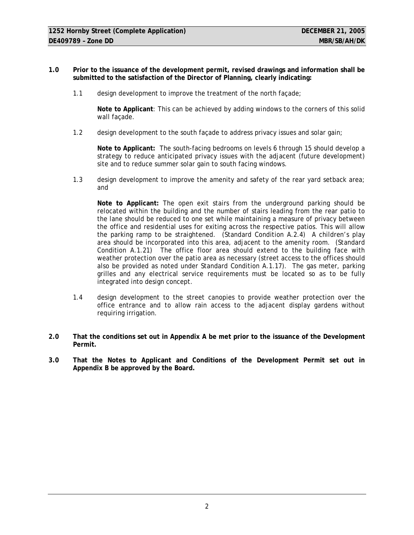- **1.0 Prior to the issuance of the development permit, revised drawings and information shall be submitted to the satisfaction of the Director of Planning, clearly indicating:** 
	- 1.1 design development to improve the treatment of the north façade;

**Note to Applicant**: This can be achieved by adding windows to the corners of this solid wall façade.

1.2 design development to the south façade to address privacy issues and solar gain;

**Note to Applicant:** The south-facing bedrooms on levels 6 through 15 should develop a strategy to reduce anticipated privacy issues with the adjacent (future development) site and to reduce summer solar gain to south facing windows.

1.3 design development to improve the amenity and safety of the rear yard setback area; and

**Note to Applicant:** The open exit stairs from the underground parking should be relocated within the building and the number of stairs leading from the rear patio to the lane should be reduced to one set while maintaining a measure of privacy between the office and residential uses for exiting across the respective patios. This will allow the parking ramp to be straightened. (Standard Condition A.2.4) A children's play area should be incorporated into this area, adjacent to the amenity room. (Standard Condition A.1.21) The office floor area should extend to the building face with weather protection over the patio area as necessary (street access to the offices should also be provided as noted under Standard Condition A.1.17). The gas meter, parking grilles and any electrical service requirements must be located so as to be fully integrated into design concept.

- 1.4 design development to the street canopies to provide weather protection over the office entrance and to allow rain access to the adjacent display gardens without requiring irrigation.
- **2.0 That the conditions set out in Appendix A be met prior to the issuance of the Development Permit.**
- **3.0 That the Notes to Applicant and Conditions of the Development Permit set out in Appendix B be approved by the Board.**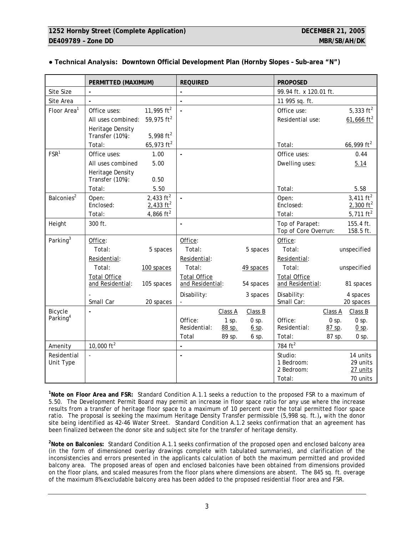| 99.94 ft. x 120.01 ft.                                            |
|-------------------------------------------------------------------|
| 11 995 sq. ft.                                                    |
| 5,333 $ft2$                                                       |
| 61,666 $ft2$<br>Residential use:                                  |
|                                                                   |
| 66,999 $ft^2$                                                     |
| Office uses:<br>0.44                                              |
| Dwelling uses:<br>5.14                                            |
|                                                                   |
|                                                                   |
| 5.58                                                              |
| 3,411 $ft^2$                                                      |
| 2,300 $ft^2$                                                      |
| 5,711 $ft^2$                                                      |
| Top of Parapet:<br>155.4 ft.<br>Top of Core Overrun:<br>158.5 ft. |
|                                                                   |
| unspecified                                                       |
| Residential:                                                      |
| unspecified                                                       |
| <b>Total Office</b>                                               |
| and Residential:<br>81 spaces                                     |
| 4 spaces<br>20 spaces                                             |
| Class B<br>Class A                                                |
| $0$ sp.<br>$0$ sp.                                                |
| Residential:<br>87 sp.<br>$0$ sp.                                 |
| 87 sp.<br>$0$ sp.                                                 |
|                                                                   |
| 14 units                                                          |
| 1 Bedroom:<br>29 units<br>27 units                                |
| 70 units                                                          |
| 2 Bedroom:                                                        |

# **● Technical Analysis: Downtown Official Development Plan (Hornby Slopes – Sub-area "N")**

**1 Note on Floor Area and FSR:** Standard Condition A.1.1 seeks a reduction to the proposed FSR to a maximum of 5.50. The Development Permit Board may permit an increase in floor space ratio for any use where the increase results from a transfer of heritage floor space to a maximum of 10 percent over the total permitted floor space ratio. The proposal is seeking the maximum Heritage Density Transfer permissible (5,998 sq. ft.)**,** with the donor site being identified as 42-46 Water Street. Standard Condition A.1.2 seeks confirmation that an agreement has been finalized between the donor site and subject site for the transfer of heritage density.

**2 Note on Balconies:** Standard Condition A.1.1 seeks confirmation of the proposed open and enclosed balcony area (in the form of dimensioned overlay drawings complete with tabulated summaries), and clarification of the inconsistencies and errors presented in the applicants calculation of both the maximum permitted and provided balcony area. The proposed areas of open and enclosed balconies have been obtained from dimensions provided on the floor plans, and scaled measures from the floor plans where dimensions are absent. The 845 sq. ft. overage of the maximum 8% excludable balcony area has been added to the proposed residential floor area and FSR.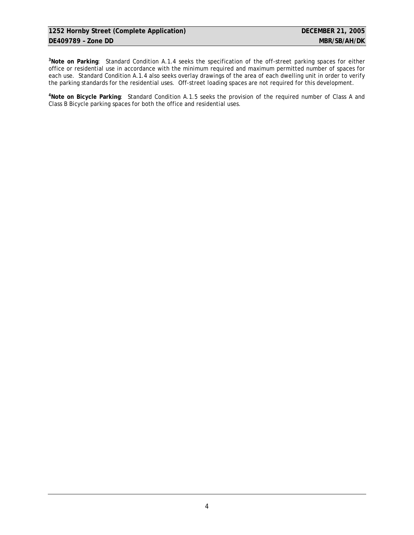**3 Note on Parking**: Standard Condition A.1.4 seeks the specification of the off-street parking spaces for either office or residential use in accordance with the minimum required and maximum permitted number of spaces for each use. Standard Condition A.1.4 also seeks overlay drawings of the area of each dwelling unit in order to verify the parking standards for the residential uses. Off-street loading spaces are not required for this development.

**4 Note on Bicycle Parking**: Standard Condition A.1.5 seeks the provision of the required number of Class A and Class B Bicycle parking spaces for both the office and residential uses.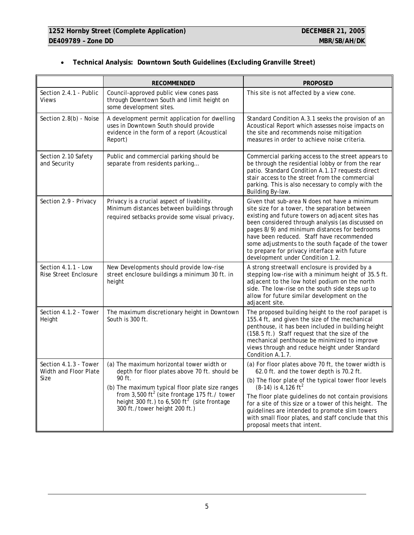|  | Technical Analysis: Downtown South Guidelines (Excluding Granville Street) |  |
|--|----------------------------------------------------------------------------|--|

|                                                                                                                                                                      | <b>RECOMMENDED</b>                                                                                                                                                                                                                                                                                       | <b>PROPOSED</b>                                                                                                                                                                                                                                                                                                                                                                                                                                            |
|----------------------------------------------------------------------------------------------------------------------------------------------------------------------|----------------------------------------------------------------------------------------------------------------------------------------------------------------------------------------------------------------------------------------------------------------------------------------------------------|------------------------------------------------------------------------------------------------------------------------------------------------------------------------------------------------------------------------------------------------------------------------------------------------------------------------------------------------------------------------------------------------------------------------------------------------------------|
| Section 2.4.1 - Public<br><b>Views</b>                                                                                                                               | Council-approved public view cones pass<br>through Downtown South and limit height on<br>some development sites.                                                                                                                                                                                         | This site is not affected by a view cone.                                                                                                                                                                                                                                                                                                                                                                                                                  |
| Section 2.8(b) - Noise                                                                                                                                               | A development permit application for dwelling<br>uses in Downtown South should provide<br>evidence in the form of a report (Acoustical<br>Report)                                                                                                                                                        | Standard Condition A.3.1 seeks the provision of an<br>Acoustical Report which assesses noise impacts on<br>the site and recommends noise mitigation<br>measures in order to achieve noise criteria.                                                                                                                                                                                                                                                        |
| Section 2.10 Safety<br>and Security                                                                                                                                  | Public and commercial parking should be<br>separate from residents parking                                                                                                                                                                                                                               | Commercial parking access to the street appears to<br>be through the residential lobby or from the rear<br>patio. Standard Condition A.1.17 requests direct<br>stair access to the street from the commercial<br>parking. This is also necessary to comply with the<br>Building By-law.                                                                                                                                                                    |
| Section 2.9 - Privacy<br>Privacy is a crucial aspect of livability.<br>Minimum distances between buildings through<br>required setbacks provide some visual privacy. |                                                                                                                                                                                                                                                                                                          | Given that sub-area N does not have a minimum<br>site size for a tower, the separation between<br>existing and future towers on adjacent sites has<br>been considered through analysis (as discussed on<br>pages 8/9) and minimum distances for bedrooms<br>have been reduced. Staff have recommended<br>some adjustments to the south façade of the tower<br>to prepare for privacy interface with future<br>development under Condition 1.2.             |
| Section 4.1.1 - Low<br><b>Rise Street Enclosure</b>                                                                                                                  | New Developments should provide low-rise<br>street enclosure buildings a minimum 30 ft. in<br>height                                                                                                                                                                                                     | A strong streetwall enclosure is provided by a<br>stepping low-rise with a minimum height of 35.5 ft.<br>adjacent to the low hotel podium on the north<br>side. The low-rise on the south side steps up to<br>allow for future similar development on the<br>adjacent site.                                                                                                                                                                                |
| Section 4.1.2 - Tower<br>Height                                                                                                                                      | The maximum discretionary height in Downtown<br>South is 300 ft.                                                                                                                                                                                                                                         | The proposed building height to the roof parapet is<br>155.4 ft, and given the size of the mechanical<br>penthouse, it has been included in building height<br>(158.5 ft.) Staff request that the size of the<br>mechanical penthouse be minimized to improve<br>views through and reduce height under Standard<br>Condition A.1.7.                                                                                                                        |
| Section 4.1.3 - Tower<br>Width and Floor Plate<br><b>SIZE</b>                                                                                                        | (a) The maximum horizontal tower width or<br>depth for floor plates above 70 ft. should be<br>90 ft.<br>(b) The maximum typical floor plate size ranges<br>from $3,500$ ft <sup>2</sup> (site frontage 175 ft./ tower<br>height 300 ft.) to 6,500 $ft^2$ (site frontage<br>300 ft./tower height 200 ft.) | (a) For floor plates above 70 ft, the tower width is<br>62.0 ft. and the tower depth is 70.2 ft.<br>(b) The floor plate of the typical tower floor levels<br>$(8-14)$ is 4,126 ft <sup>2</sup><br>The floor plate guidelines do not contain provisions<br>for a site of this size or a tower of this height. The<br>guidelines are intended to promote slim towers<br>with small floor plates, and staff conclude that this<br>proposal meets that intent. |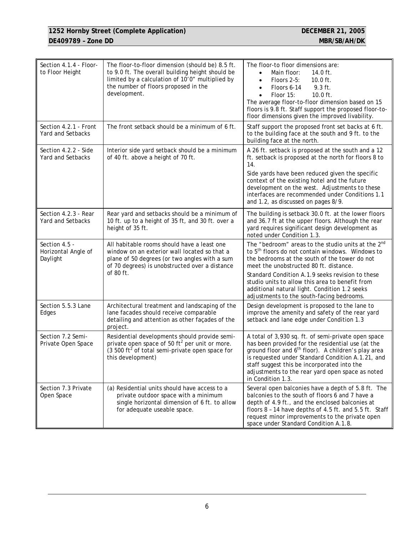# **1252 Hornby Street (Complete Application) DECEMBER 21, 2005 DE409789 - Zone DD** MBR/SB/AH/DK

| Section 4.1.4 - Floor-<br>to Floor Height                                                                                                                                                                                                         | The floor-to-floor dimension (should be) 8.5 ft.<br>to 9.0 ft. The overall building height should be<br>limited by a calculation of 10'0" multiplied by<br>the number of floors proposed in the<br>development.                                                                                                       | The floor-to floor dimensions are:<br>Main floor:<br>14.0 ft.<br>$\bullet$<br>Floors 2-5:<br>$10.0$ ft.<br>$\bullet$<br>Floors 6-14<br>$9.3$ ft.<br>Floor 15:<br>$10.0$ ft.<br>$\bullet$<br>The average floor-to-floor dimension based on 15<br>floors is 9.8 ft. Staff support the proposed floor-to-<br>floor dimensions given the improved livability. |
|---------------------------------------------------------------------------------------------------------------------------------------------------------------------------------------------------------------------------------------------------|-----------------------------------------------------------------------------------------------------------------------------------------------------------------------------------------------------------------------------------------------------------------------------------------------------------------------|-----------------------------------------------------------------------------------------------------------------------------------------------------------------------------------------------------------------------------------------------------------------------------------------------------------------------------------------------------------|
| Section 4.2.1 - Front<br>Yard and Setbacks                                                                                                                                                                                                        | The front setback should be a minimum of 6 ft.                                                                                                                                                                                                                                                                        | Staff support the proposed front set backs at 6 ft.<br>to the building face at the south and 9 ft. to the<br>building face at the north.                                                                                                                                                                                                                  |
| Section 4.2.2 - Side<br>Yard and Setbacks                                                                                                                                                                                                         | Interior side yard setback should be a minimum<br>of 40 ft. above a height of 70 ft.                                                                                                                                                                                                                                  | A 26 ft. setback is proposed at the south and a 12<br>ft. setback is proposed at the north for floors 8 to<br>14.                                                                                                                                                                                                                                         |
|                                                                                                                                                                                                                                                   |                                                                                                                                                                                                                                                                                                                       | Side yards have been reduced given the specific<br>context of the existing hotel and the future<br>development on the west. Adjustments to these<br>interfaces are recommended under Conditions 1.1<br>and 1.2, as discussed on pages 8/9.                                                                                                                |
| Section 4.2.3 - Rear<br>Yard and Setbacks                                                                                                                                                                                                         | Rear yard and setbacks should be a minimum of<br>The building is setback 30.0 ft. at the lower floors<br>and 36.7 ft at the upper floors. Although the rear<br>10 ft. up to a height of 35 ft, and 30 ft. over a<br>height of 35 ft.<br>yard requires significant design development as<br>noted under Condition 1.3. |                                                                                                                                                                                                                                                                                                                                                           |
| Section 4.5 -<br>Horizontal Angle of<br>Daylight                                                                                                                                                                                                  | All habitable rooms should have a least one<br>window on an exterior wall located so that a<br>plane of 50 degrees (or two angles with a sum<br>of 70 degrees) is unobstructed over a distance<br>of 80 ft.                                                                                                           | The "bedroom" areas to the studio units at the 2nd<br>to 5 <sup>th</sup> floors do not contain windows. Windows to<br>the bedrooms at the south of the tower do not<br>meet the unobstructed 80 ft. distance.                                                                                                                                             |
|                                                                                                                                                                                                                                                   |                                                                                                                                                                                                                                                                                                                       | Standard Condition A.1.9 seeks revision to these<br>studio units to allow this area to benefit from<br>additional natural light. Condition 1.2 seeks<br>adjustments to the south-facing bedrooms.                                                                                                                                                         |
| Section 5.5.3 Lane<br>Edges                                                                                                                                                                                                                       | Architectural treatment and landscaping of the<br>lane facades should receive comparable<br>detailing and attention as other façades of the<br>project.                                                                                                                                                               | Design development is proposed to the lane to<br>improve the amenity and safety of the rear yard<br>setback and lane edge under Condition 1.3                                                                                                                                                                                                             |
| Section 7.2 Semi-<br>Residential developments should provide semi-<br>private open space of 50 ft <sup>2</sup> per unit or more.<br>Private Open Space<br>$(3500 \text{ ft}^2 \text{ of total semi-private open space for})$<br>this development) |                                                                                                                                                                                                                                                                                                                       | A total of 3,930 sq. ft. of semi-private open space<br>has been provided for the residential use (at the<br>ground floor and 6 <sup>th</sup> floor). A children's play area<br>is requested under Standard Condition A.1.21, and<br>staff suggest this be incorporated into the<br>adjustments to the rear yard open space as noted<br>in Condition 1.3.  |
| Section 7.3 Private<br>(a) Residential units should have access to a<br>private outdoor space with a minimum<br>Open Space<br>single horizontal dimension of 6 ft. to allow<br>for adequate useable space.                                        |                                                                                                                                                                                                                                                                                                                       | Several open balconies have a depth of 5.8 ft. The<br>balconies to the south of floors 6 and 7 have a<br>depth of 4.9 ft., and the enclosed balconies at<br>floors 8 - 14 have depths of 4.5 ft. and 5.5 ft. Staff<br>request minor improvements to the private open<br>space under Standard Condition A.1.8.                                             |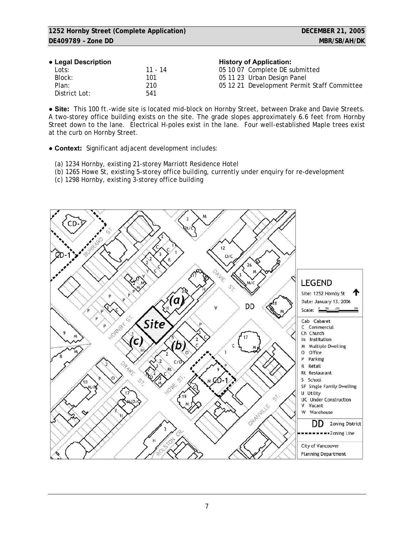#### **● Legal Description History of Application:**

| $\sim$ 2090, 2000, pactor |         | <b>THOLD Y</b> OF Application.              |
|---------------------------|---------|---------------------------------------------|
| Lots:                     | 11 - 14 | 05 10 07 Complete DE submitted              |
| Block:                    | 101     | 05 11 23 Urban Design Panel                 |
| Plan:                     | 210     | 05 12 21 Development Permit Staff Committee |
| District Lot:             | 541     |                                             |

**● Site:** This 100 ft.-wide site is located mid-block on Hornby Street, between Drake and Davie Streets. A two-storey office building exists on the site. The grade slopes approximately 6.6 feet from Hornby Street down to the lane. Electrical H-poles exist in the lane. Four well-established Maple trees exist at the curb on Hornby Street.

**● Context:** Significant adjacent development includes:

- (a) 1234 Hornby, existing 21-storey Marriott Residence Hotel
- (b) 1265 Howe St, existing 5-storey office building, currently under enquiry for re-development

(c) 1298 Hornby, existing 3-storey office building

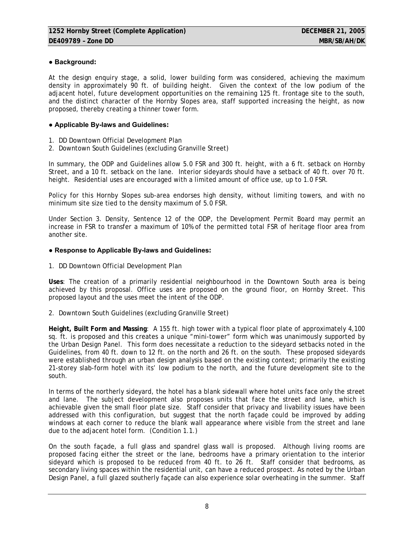# **● Background:**

At the design enquiry stage, a solid, lower building form was considered, achieving the maximum density in approximately 90 ft. of building height. Given the context of the low podium of the adjacent hotel, future development opportunities on the remaining 125 ft. frontage site to the south, and the distinct character of the Hornby Slopes area, staff supported increasing the height, as now proposed, thereby creating a thinner tower form.

# **● Applicable By-laws and Guidelines:**

- 1. DD Downtown Official Development Plan
- 2. Downtown South Guidelines (excluding Granville Street)

In summary, the ODP and Guidelines allow 5.0 FSR and 300 ft. height, with a 6 ft. setback on Hornby Street, and a 10 ft. setback on the lane. Interior sideyards should have a setback of 40 ft. over 70 ft. height. Residential uses are encouraged with a limited amount of office use, up to 1.0 FSR.

Policy for this Hornby Slopes sub-area endorses high density, without limiting towers, and with no minimum site size tied to the density maximum of 5.0 FSR.

Under Section 3. Density, Sentence 12 of the ODP, the Development Permit Board may permit an increase in FSR to transfer a maximum of 10% of the permitted total FSR of heritage floor area from another site.

# **● Response to Applicable By-laws and Guidelines:**

1. DD Downtown Official Development Plan

**Uses**: The creation of a primarily residential neighbourhood in the Downtown South area is being achieved by this proposal. Office uses are proposed on the ground floor, on Hornby Street. This proposed layout and the uses meet the intent of the ODP.

2. Downtown South Guidelines (excluding Granville Street)

**Height, Built Form and Massing**: A 155 ft. high tower with a typical floor plate of approximately 4,100 sq. ft. is proposed and this creates a unique "mini-tower" form which was unanimously supported by the Urban Design Panel. This form does necessitate a reduction to the sideyard setbacks noted in the Guidelines, from 40 ft. down to 12 ft. on the north and 26 ft. on the south. These proposed sideyards were established through an urban design analysis based on the existing context; primarily the existing 21-storey slab-form hotel with its' low podium to the north, and the future development site to the south.

In terms of the northerly sideyard, the hotel has a blank sidewall where hotel units face only the street and lane. The subject development also proposes units that face the street and lane, which is achievable given the small floor plate size. Staff consider that privacy and livability issues have been addressed with this configuration, but suggest that the north façade could be improved by adding windows at each corner to reduce the blank wall appearance where visible from the street and lane due to the adjacent hotel form. (Condition 1.1.)

On the south façade, a full glass and spandrel glass wall is proposed. Although living rooms are proposed facing either the street or the lane, bedrooms have a primary orientation to the interior sideyard which is proposed to be reduced from 40 ft. to 26 ft. Staff consider that bedrooms, as secondary living spaces within the residential unit, can have a reduced prospect. As noted by the Urban Design Panel, a full glazed southerly façade can also experience solar overheating in the summer. Staff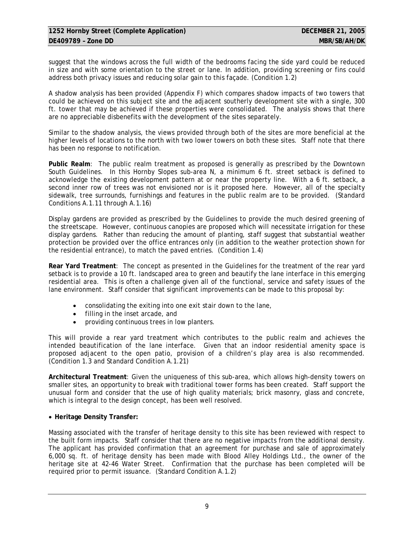suggest that the windows across the full width of the bedrooms facing the side yard could be reduced in size and with some orientation to the street or lane. In addition, providing screening or fins could address both privacy issues and reducing solar gain to this façade. (Condition 1.2)

A shadow analysis has been provided (Appendix F) which compares shadow impacts of two towers that could be achieved on this subject site and the adjacent southerly development site with a single, 300 ft. tower that may be achieved if these properties were consolidated. The analysis shows that there are no appreciable disbenefits with the development of the sites separately.

Similar to the shadow analysis, the views provided through both of the sites are more beneficial at the higher levels of locations to the north with two lower towers on both these sites. Staff note that there has been no response to notification.

**Public Realm**: The public realm treatment as proposed is generally as prescribed by the Downtown South Guidelines. In this Hornby Slopes sub-area N, a minimum 6 ft. street setback is defined to acknowledge the existing development pattern at or near the property line. With a 6 ft. setback, a second inner row of trees was not envisioned nor is it proposed here. However, all of the specialty sidewalk, tree surrounds, furnishings and features in the public realm are to be provided. (Standard Conditions A.1.11 through A.1.16)

Display gardens are provided as prescribed by the Guidelines to provide the much desired greening of the streetscape. However, continuous canopies are proposed which will necessitate irrigation for these display gardens. Rather than reducing the amount of planting, staff suggest that substantial weather protection be provided over the office entrances only (in addition to the weather protection shown for the residential entrance), to match the paved entries. (Condition 1.4)

**Rear Yard Treatment**: The concept as presented in the Guidelines for the treatment of the rear yard setback is to provide a 10 ft. landscaped area to green and beautify the lane interface in this emerging residential area. This is often a challenge given all of the functional, service and safety issues of the lane environment. Staff consider that significant improvements can be made to this proposal by:

- consolidating the exiting into one exit stair down to the lane,
- filling in the inset arcade, and
- providing continuous trees in low planters.

This will provide a rear yard treatment which contributes to the public realm and achieves the intended beautification of the lane interface. Given that an indoor residential amenity space is proposed adjacent to the open patio, provision of a children's play area is also recommended. (Condition 1.3 and Standard Condition A.1.21)

**Architectural Treatment**: Given the uniqueness of this sub-area, which allows high-density towers on smaller sites, an opportunity to break with traditional tower forms has been created. Staff support the unusual form and consider that the use of high quality materials; brick masonry, glass and concrete, which is integral to the design concept, has been well resolved.

# • **Heritage Density Transfer:**

Massing associated with the transfer of heritage density to this site has been reviewed with respect to the built form impacts. Staff consider that there are no negative impacts from the additional density. The applicant has provided confirmation that an agreement for purchase and sale of approximately 6,000 sq. ft. of heritage density has been made with Blood Alley Holdings Ltd., the owner of the heritage site at 42-46 Water Street. Confirmation that the purchase has been completed will be required prior to permit issuance. (Standard Condition A.1.2)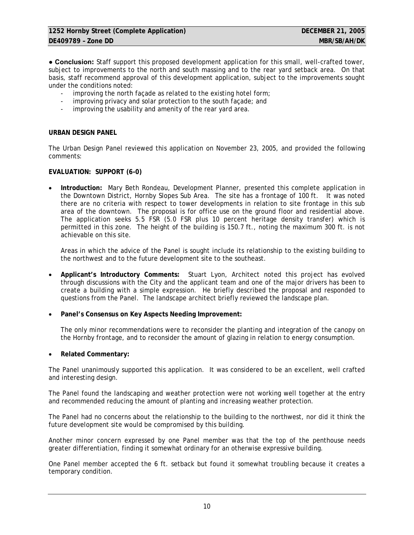**● Conclusion:** Staff support this proposed development application for this small, well-crafted tower, subject to improvements to the north and south massing and to the rear yard setback area. On that basis, staff recommend approval of this development application, subject to the improvements sought under the conditions noted:

- improving the north façade as related to the existing hotel form;
- improving privacy and solar protection to the south facade; and
- improving the usability and amenity of the rear vard area.

## **URBAN DESIGN PANEL**

The Urban Design Panel reviewed this application on November 23, 2005, and provided the following comments:

# **EVALUATION: SUPPORT (6-0)**

• **Introduction:** Mary Beth Rondeau, Development Planner, presented this complete application in the Downtown District, Hornby Slopes Sub Area. The site has a frontage of 100 ft. It was noted there are no criteria with respect to tower developments in relation to site frontage in this sub area of the downtown. The proposal is for office use on the ground floor and residential above. The application seeks 5.5 FSR (5.0 FSR plus 10 percent heritage density transfer) which is permitted in this zone. The height of the building is 150.7 ft., noting the maximum 300 ft. is not achievable on this site.

Areas in which the advice of the Panel is sought include its relationship to the existing building to the northwest and to the future development site to the southeast.

- **Applicant's Introductory Comments:** Stuart Lyon, Architect noted this project has evolved through discussions with the City and the applicant team and one of the major drivers has been to create a building with a simple expression. He briefly described the proposal and responded to questions from the Panel. The landscape architect briefly reviewed the landscape plan.
- **Panel's Consensus on Key Aspects Needing Improvement:**

The only minor recommendations were to reconsider the planting and integration of the canopy on the Hornby frontage, and to reconsider the amount of glazing in relation to energy consumption.

• **Related Commentary:** 

The Panel unanimously supported this application. It was considered to be an excellent, well crafted and interesting design.

The Panel found the landscaping and weather protection were not working well together at the entry and recommended reducing the amount of planting and increasing weather protection.

The Panel had no concerns about the relationship to the building to the northwest, nor did it think the future development site would be compromised by this building.

Another minor concern expressed by one Panel member was that the top of the penthouse needs greater differentiation, finding it somewhat ordinary for an otherwise expressive building.

One Panel member accepted the 6 ft. setback but found it somewhat troubling because it creates a temporary condition.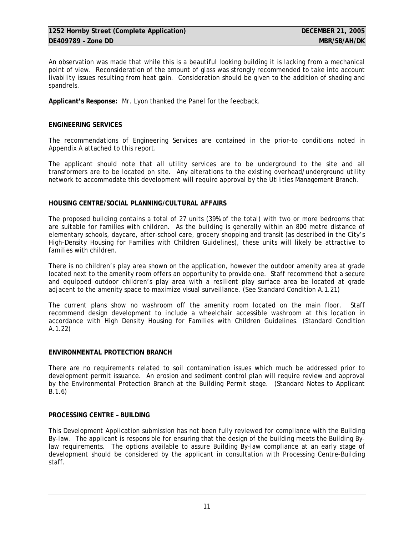An observation was made that while this is a beautiful looking building it is lacking from a mechanical point of view. Reconsideration of the amount of glass was strongly recommended to take into account livability issues resulting from heat gain. Consideration should be given to the addition of shading and spandrels.

**Applicant's Response:** Mr. Lyon thanked the Panel for the feedback.

# **ENGINEERING SERVICES**

The recommendations of Engineering Services are contained in the prior-to conditions noted in Appendix A attached to this report.

The applicant should note that all utility services are to be underground to the site and all transformers are to be located on site. Any alterations to the existing overhead/underground utility network to accommodate this development will require approval by the Utilities Management Branch.

# **HOUSING CENTRE/SOCIAL PLANNING/CULTURAL AFFAIRS**

The proposed building contains a total of 27 units (39% of the total) with two or more bedrooms that are suitable for families with children. As the building is generally within an 800 metre distance of elementary schools, daycare, after-school care, grocery shopping and transit (as described in the City's High-Density Housing for Families with Children Guidelines), these units will likely be attractive to families with children.

There is no children's play area shown on the application, however the outdoor amenity area at grade located next to the amenity room offers an opportunity to provide one. Staff recommend that a secure and equipped outdoor children's play area with a resilient play surface area be located at grade adjacent to the amenity space to maximize visual surveillance. (See Standard Condition A.1.21)

The current plans show no washroom off the amenity room located on the main floor. Staff recommend design development to include a wheelchair accessible washroom at this location in accordance with High Density Housing for Families with Children Guidelines. (Standard Condition A.1.22)

#### **ENVIRONMENTAL PROTECTION BRANCH**

There are no requirements related to soil contamination issues which much be addressed prior to development permit issuance. An erosion and sediment control plan will require review and approval by the Environmental Protection Branch at the Building Permit stage. (Standard Notes to Applicant B.1.6)

#### **PROCESSING CENTRE – BUILDING**

This Development Application submission has not been fully reviewed for compliance with the Building By-law. The applicant is responsible for ensuring that the design of the building meets the Building Bylaw requirements. The options available to assure Building By-law compliance at an early stage of development should be considered by the applicant in consultation with Processing Centre-Building staff.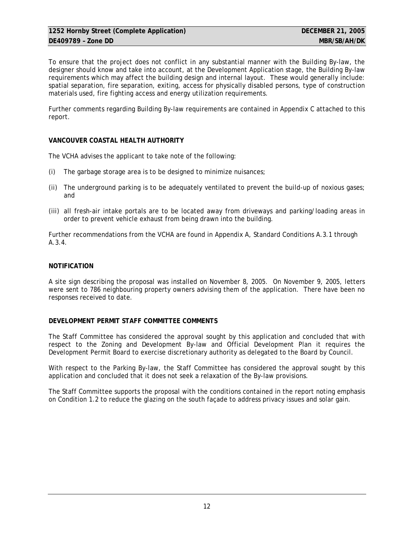To ensure that the project does not conflict in any substantial manner with the Building By-law, the designer should know and take into account, at the Development Application stage, the Building By-law requirements which may affect the building design and internal layout. These would generally include: spatial separation, fire separation, exiting, access for physically disabled persons, type of construction materials used, fire fighting access and energy utilization requirements.

Further comments regarding Building By-law requirements are contained in Appendix C attached to this report.

# **VANCOUVER COASTAL HEALTH AUTHORITY**

The VCHA advises the applicant to take note of the following:

- (i) The garbage storage area is to be designed to minimize nuisances;
- (ii) The underground parking is to be adequately ventilated to prevent the build-up of noxious gases; and
- (iii) all fresh-air intake portals are to be located away from driveways and parking/loading areas in order to prevent vehicle exhaust from being drawn into the building.

Further recommendations from the VCHA are found in Appendix A, Standard Conditions A.3.1 through A.3.4.

# **NOTIFICATION**

A site sign describing the proposal was installed on November 8, 2005. On November 9, 2005, letters were sent to 786 neighbouring property owners advising them of the application. There have been no responses received to date.

#### **DEVELOPMENT PERMIT STAFF COMMITTEE COMMENTS**

The Staff Committee has considered the approval sought by this application and concluded that with respect to the Zoning and Development By-law and Official Development Plan it requires the Development Permit Board to exercise discretionary authority as delegated to the Board by Council.

With respect to the Parking By-law, the Staff Committee has considered the approval sought by this application and concluded that it does not seek a relaxation of the By-law provisions.

The Staff Committee supports the proposal with the conditions contained in the report noting emphasis on Condition 1.2 to reduce the glazing on the south façade to address privacy issues and solar gain.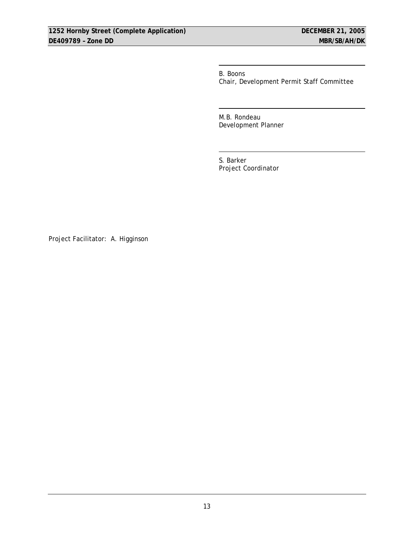B. Boons Chair, Development Permit Staff Committee

 M.B. Rondeau Development Planner

 S. Barker Project Coordinator

Project Facilitator: A. Higginson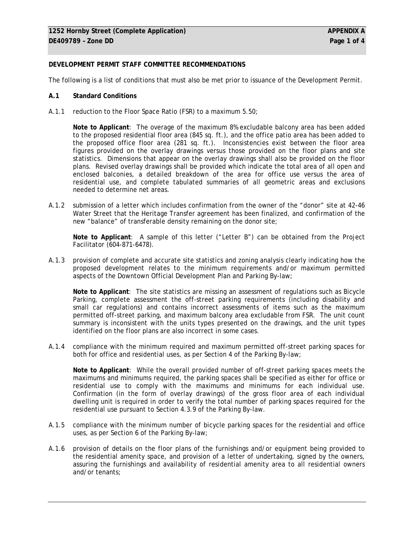# **DEVELOPMENT PERMIT STAFF COMMITTEE RECOMMENDATIONS**

The following is a list of conditions that must also be met prior to issuance of the Development Permit.

#### **A.1 Standard Conditions**

A.1.1 reduction to the Floor Space Ratio (FSR) to a maximum 5.50;

**Note to Applicant**: The overage of the maximum 8% excludable balcony area has been added to the proposed residential floor area (845 sq. ft.), and the office patio area has been added to the proposed office floor area (281 sq. ft.). Inconsistencies exist between the floor area figures provided on the overlay drawings versus those provided on the floor plans and site statistics. Dimensions that appear on the overlay drawings shall also be provided on the floor plans. Revised overlay drawings shall be provided which indicate the total area of all open and enclosed balconies, a detailed breakdown of the area for office use versus the area of residential use, and complete tabulated summaries of all geometric areas and exclusions needed to determine net areas.

A.1.2 submission of a letter which includes confirmation from the owner of the "donor" site at 42-46 Water Street that the Heritage Transfer agreement has been finalized, and confirmation of the new "balance" of transferable density remaining on the donor site;

**Note to Applicant**: A sample of this letter ("Letter B") can be obtained from the Project Facilitator (604-871-6478).

A.1.3 provision of complete and accurate site statistics and zoning analysis clearly indicating how the proposed development relates to the minimum requirements and/or maximum permitted aspects of the Downtown Official Development Plan and Parking By-law;

**Note to Applicant**: The site statistics are missing an assessment of regulations such as Bicycle Parking, complete assessment the off-street parking requirements (including disability and small car regulations) and contains incorrect assessments of items such as the maximum permitted off-street parking, and maximum balcony area excludable from FSR. The unit count summary is inconsistent with the units types presented on the drawings, and the unit types identified on the floor plans are also incorrect in some cases.

A.1.4 compliance with the minimum required and maximum permitted off-street parking spaces for both for office and residential uses, as per Section 4 of the Parking By-law;

**Note to Applicant**: While the overall provided number of off-street parking spaces meets the maximums and minimums required, the parking spaces shall be specified as either for office or residential use to comply with the maximums and minimums for each individual use. Confirmation (in the form of overlay drawings) of the gross floor area of each individual dwelling unit is required in order to verify the total number of parking spaces required for the residential use pursuant to Section 4.3.9 of the Parking By-law.

- A.1.5 compliance with the minimum number of bicycle parking spaces for the residential and office uses, as per Section 6 of the Parking By-law;
- A.1.6 provision of details on the floor plans of the furnishings and/or equipment being provided to the residential amenity space, and provision of a letter of undertaking, signed by the owners, assuring the furnishings and availability of residential amenity area to all residential owners and/or tenants;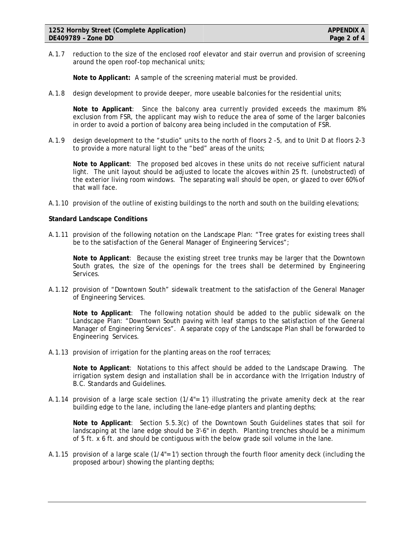A.1.7 reduction to the size of the enclosed roof elevator and stair overrun and provision of screening around the open roof-top mechanical units;

**Note to Applicant:** A sample of the screening material must be provided.

A.1.8 design development to provide deeper, more useable balconies for the residential units;

**Note to Applicant**: Since the balcony area currently provided exceeds the maximum 8% exclusion from FSR, the applicant may wish to reduce the area of some of the larger balconies in order to avoid a portion of balcony area being included in the computation of FSR.

A.1.9 design development to the "studio" units to the north of floors 2 -5, and to Unit D at floors 2-3 to provide a more natural light to the "bed" areas of the units;

**Note to Applicant**: The proposed bed alcoves in these units do not receive sufficient natural light. The unit layout should be adjusted to locate the alcoves within 25 ft. (unobstructed) of the exterior living room windows. The separating wall should be open, or glazed to over 60% of that wall face.

A.1.10 provision of the outline of existing buildings to the north and south on the building elevations;

#### **Standard Landscape Conditions**

A.1.11 provision of the following notation on the Landscape Plan: "Tree grates for existing trees shall be to the satisfaction of the General Manager of Engineering Services";

**Note to Applicant**: Because the existing street tree trunks may be larger that the Downtown South grates, the size of the openings for the trees shall be determined by Engineering Services.

A.1.12 provision of "Downtown South" sidewalk treatment to the satisfaction of the General Manager of Engineering Services.

**Note to Applicant**: The following notation should be added to the public sidewalk on the Landscape Plan: "Downtown South paving with leaf stamps to the satisfaction of the General Manager of Engineering Services". A separate copy of the Landscape Plan shall be forwarded to Engineering Services.

A.1.13 provision of irrigation for the planting areas on the roof terraces;

**Note to Applicant**: Notations to this affect should be added to the Landscape Drawing. The irrigation system design and installation shall be in accordance with the Irrigation Industry of B.C. Standards and Guidelines.

A.1.14 provision of a large scale section (1/4"= 1') illustrating the private amenity deck at the rear building edge to the lane, including the lane-edge planters and planting depths;

**Note to Applicant**: Section 5.5.3(c) of the Downtown South Guidelines states that soil for landscaping at the lane edge should be 3'-6" in depth. Planting trenches should be a minimum of 5 ft. x 6 ft. and should be contiguous with the below grade soil volume in the lane.

A.1.15 provision of a large scale (1/4"= 1') section through the fourth floor amenity deck (including the proposed arbour) showing the planting depths;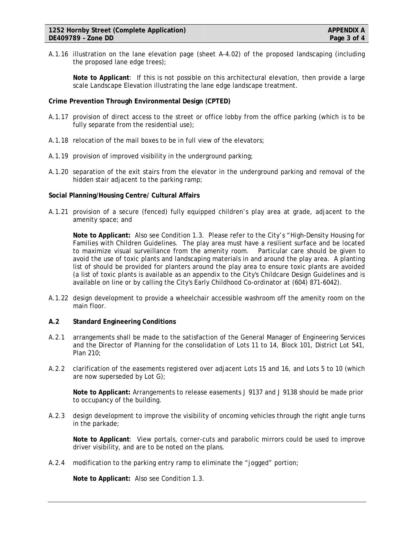A.1.16 illustration on the lane elevation page (sheet A-4.02) of the proposed landscaping (including the proposed lane edge trees);

**Note to Applicant**: If this is not possible on this architectural elevation, then provide a large scale Landscape Elevation illustrating the lane edge landscape treatment.

## **Crime Prevention Through Environmental Design (CPTED)**

- A.1.17 provision of direct access to the street or office lobby from the office parking (which is to be fully separate from the residential use);
- A.1.18 relocation of the mail boxes to be in full view of the elevators;
- A.1.19 provision of improved visibility in the underground parking;
- A.1.20 separation of the exit stairs from the elevator in the underground parking and removal of the hidden stair adjacent to the parking ramp;

#### **Social Planning/Housing Centre/ Cultural Affairs**

A.1.21 provision of a secure (fenced) fully equipped children's play area at grade, adjacent to the amenity space; and

**Note to Applicant:** Also see Condition 1.3. Please refer to the City's "High-Density Housing for Families with Children Guidelines. The play area must have a resilient surface and be located to maximize visual surveillance from the amenity room. Particular care should be given to avoid the use of toxic plants and landscaping materials in and around the play area. A planting list of should be provided for planters around the play area to ensure toxic plants are avoided (a list of toxic plants is available as an appendix to the City's Childcare Design Guidelines and is available on line or by calling the City's Early Childhood Co-ordinator at (604) 871-6042).

A.1.22 design development to provide a wheelchair accessible washroom off the amenity room on the main floor.

#### **A.2 Standard Engineering Conditions**

- A.2.1 arrangements shall be made to the satisfaction of the General Manager of Engineering Services and the Director of Planning for the consolidation of Lots 11 to 14, Block 101, District Lot 541, Plan 210;
- A.2.2 clarification of the easements registered over adjacent Lots 15 and 16, and Lots 5 to 10 (which are now superseded by Lot G);

**Note to Applicant:** Arrangements to release easements J 9137 and J 9138 should be made prior to occupancy of the building.

A.2.3 design development to improve the visibility of oncoming vehicles through the right angle turns in the parkade;

**Note to Applicant**: View portals, corner-cuts and parabolic mirrors could be used to improve driver visibility, and are to be noted on the plans.

A.2.4 modification to the parking entry ramp to eliminate the "jogged" portion;

**Note to Applicant:** Also see Condition 1.3.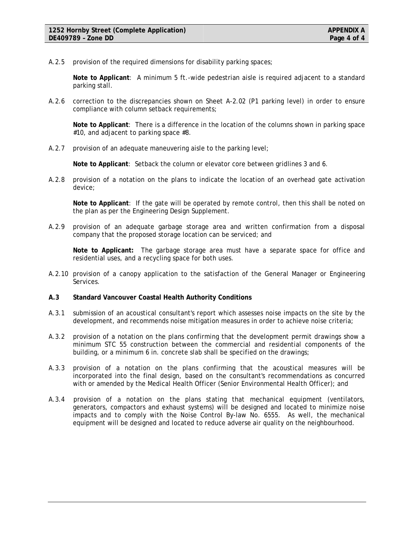A.2.5 provision of the required dimensions for disability parking spaces;

**Note to Applicant**: A minimum 5 ft.-wide pedestrian aisle is required adjacent to a standard parking stall.

A.2.6 correction to the discrepancies shown on Sheet A-2.02 (P1 parking level) in order to ensure compliance with column setback requirements;

**Note to Applicant**: There is a difference in the location of the columns shown in parking space #10, and adjacent to parking space #8.

A.2.7 provision of an adequate maneuvering aisle to the parking level;

**Note to Applicant**: Setback the column or elevator core between gridlines 3 and 6.

A.2.8 provision of a notation on the plans to indicate the location of an overhead gate activation device;

**Note to Applicant**: If the gate will be operated by remote control, then this shall be noted on the plan as per the Engineering Design Supplement.

A.2.9 provision of an adequate garbage storage area and written confirmation from a disposal company that the proposed storage location can be serviced; and

**Note to Applicant:** The garbage storage area must have a separate space for office and residential uses, and a recycling space for both uses.

- A.2.10 provision of a canopy application to the satisfaction of the General Manager or Engineering Services.
- **A.3 Standard Vancouver Coastal Health Authority Conditions**
- A.3.1 submission of an acoustical consultant's report which assesses noise impacts on the site by the development, and recommends noise mitigation measures in order to achieve noise criteria;
- A.3.2 provision of a notation on the plans confirming that the development permit drawings show a minimum STC 55 construction between the commercial and residential components of the building, or a minimum 6 in. concrete slab shall be specified on the drawings;
- A.3.3 provision of a notation on the plans confirming that the acoustical measures will be incorporated into the final design, based on the consultant's recommendations as concurred with or amended by the Medical Health Officer (Senior Environmental Health Officer); and
- A.3.4 provision of a notation on the plans stating that mechanical equipment (ventilators, generators, compactors and exhaust systems) will be designed and located to minimize noise impacts and to comply with the Noise Control By-law No. 6555. As well, the mechanical equipment will be designed and located to reduce adverse air quality on the neighbourhood.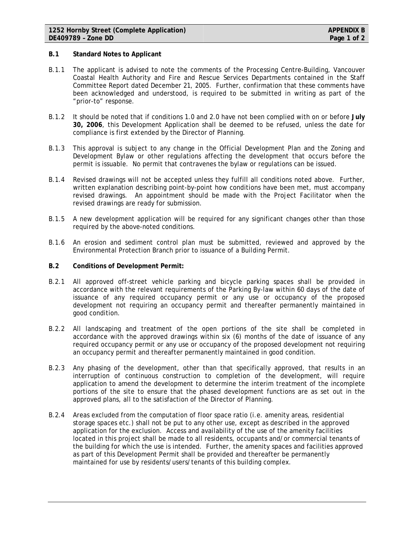#### **B.1 Standard Notes to Applicant**

- B.1.1 The applicant is advised to note the comments of the Processing Centre-Building, Vancouver Coastal Health Authority and Fire and Rescue Services Departments contained in the Staff Committee Report dated December 21, 2005. Further, confirmation that these comments have been acknowledged and understood, is required to be submitted in writing as part of the "prior-to" response.
- B.1.2 It should be noted that if conditions 1.0 and 2.0 have not been complied with on or before **July 30, 2006**, this Development Application shall be deemed to be refused, unless the date for compliance is first extended by the Director of Planning.
- B.1.3 This approval is subject to any change in the Official Development Plan and the Zoning and Development Bylaw or other regulations affecting the development that occurs before the permit is issuable. No permit that contravenes the bylaw or regulations can be issued.
- B.1.4 Revised drawings will not be accepted unless they fulfill all conditions noted above. Further, written explanation describing point-by-point how conditions have been met, must accompany revised drawings. An appointment should be made with the Project Facilitator when the revised drawings are ready for submission.
- B.1.5 A new development application will be required for any significant changes other than those required by the above-noted conditions.
- B.1.6 An erosion and sediment control plan must be submitted, reviewed and approved by the Environmental Protection Branch prior to issuance of a Building Permit.
- **B.2 Conditions of Development Permit:**
- B.2.1 All approved off-street vehicle parking and bicycle parking spaces shall be provided in accordance with the relevant requirements of the Parking By-law within 60 days of the date of issuance of any required occupancy permit or any use or occupancy of the proposed development not requiring an occupancy permit and thereafter permanently maintained in good condition.
- B.2.2 All landscaping and treatment of the open portions of the site shall be completed in accordance with the approved drawings within six (6) months of the date of issuance of any required occupancy permit or any use or occupancy of the proposed development not requiring an occupancy permit and thereafter permanently maintained in good condition.
- B.2.3 Any phasing of the development, other than that specifically approved, that results in an interruption of continuous construction to completion of the development, will require application to amend the development to determine the interim treatment of the incomplete portions of the site to ensure that the phased development functions are as set out in the approved plans, all to the satisfaction of the Director of Planning.
- B.2.4 Areas excluded from the computation of floor space ratio (i.e. amenity areas, residential storage spaces etc.) shall not be put to any other use, except as described in the approved application for the exclusion. Access and availability of the use of the amenity facilities located in this project shall be made to all residents, occupants and/or commercial tenants of the building for which the use is intended. Further, the amenity spaces and facilities approved as part of this Development Permit shall be provided and thereafter be permanently maintained for use by residents/users/tenants of this building complex.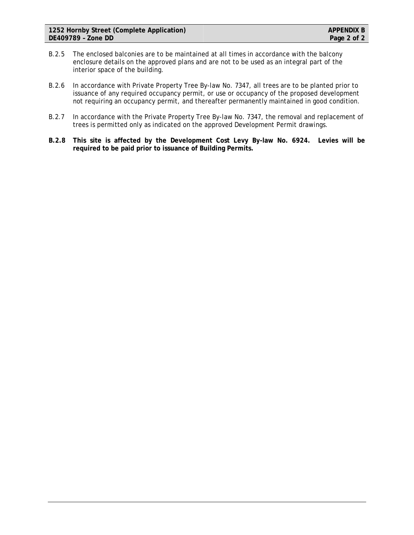- B.2.5 The enclosed balconies are to be maintained at all times in accordance with the balcony enclosure details on the approved plans and are not to be used as an integral part of the interior space of the building.
- B.2.6 In accordance with Private Property Tree By-law No. 7347, all trees are to be planted prior to issuance of any required occupancy permit, or use or occupancy of the proposed development not requiring an occupancy permit, and thereafter permanently maintained in good condition.
- B.2.7 In accordance with the Private Property Tree By-law No. 7347, the removal and replacement of trees is permitted only as indicated on the approved Development Permit drawings.
- **B.2.8 This site is affected by the Development Cost Levy By-law No. 6924. Levies will be required to be paid prior to issuance of Building Permits.**